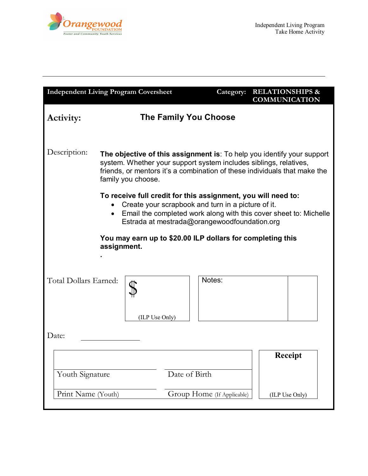

| <b>Independent Living Program Coversheet</b>                                                                                                                                                                                             |                                                                                                                                                                                                                                                |                              | Category: | <b>RELATIONSHIPS &amp;</b><br><b>COMMUNICATION</b> |  |
|------------------------------------------------------------------------------------------------------------------------------------------------------------------------------------------------------------------------------------------|------------------------------------------------------------------------------------------------------------------------------------------------------------------------------------------------------------------------------------------------|------------------------------|-----------|----------------------------------------------------|--|
| <b>Activity:</b>                                                                                                                                                                                                                         |                                                                                                                                                                                                                                                | <b>The Family You Choose</b> |           |                                                    |  |
| Description:                                                                                                                                                                                                                             | The objective of this assignment is: To help you identify your support<br>system. Whether your support system includes siblings, relatives,<br>friends, or mentors it's a combination of these individuals that make the<br>family you choose. |                              |           |                                                    |  |
| To receive full credit for this assignment, you will need to:<br>Create your scrapbook and turn in a picture of it.<br>Email the completed work along with this cover sheet to: Michelle<br>Estrada at mestrada@orangewoodfoundation.org |                                                                                                                                                                                                                                                |                              |           |                                                    |  |
| You may earn up to \$20.00 ILP dollars for completing this<br>assignment.                                                                                                                                                                |                                                                                                                                                                                                                                                |                              |           |                                                    |  |
| Total Dollars Earned:                                                                                                                                                                                                                    | (ILP Use Only)                                                                                                                                                                                                                                 | Notes:                       |           |                                                    |  |
| Date:                                                                                                                                                                                                                                    |                                                                                                                                                                                                                                                |                              |           |                                                    |  |
| Youth Signature                                                                                                                                                                                                                          |                                                                                                                                                                                                                                                | Date of Birth                |           | <b>Receipt</b>                                     |  |
| Print Name (Youth)                                                                                                                                                                                                                       |                                                                                                                                                                                                                                                | Group Home (If Applicable)   |           | (ILP Use Only)                                     |  |